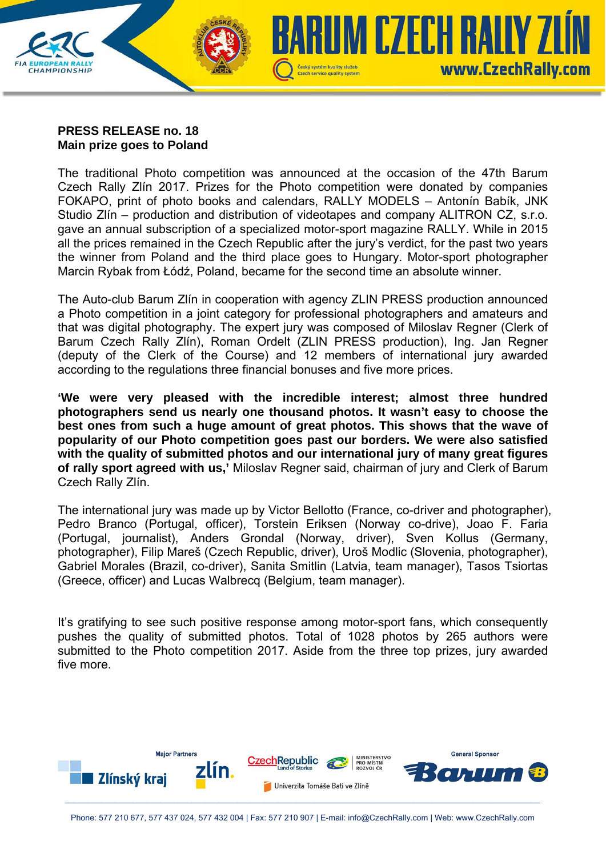

## **PRESS RELEASE no. 18 Main prize goes to Poland**

The traditional Photo competition was announced at the occasion of the 47th Barum Czech Rally Zlín 2017. Prizes for the Photo competition were donated by companies FOKAPO, print of photo books and calendars, RALLY MODELS – Antonín Babík, JNK Studio Zlín – production and distribution of videotapes and company ALITRON CZ, s.r.o. gave an annual subscription of a specialized motor-sport magazine RALLY. While in 2015 all the prices remained in the Czech Republic after the jury's verdict, for the past two years the winner from Poland and the third place goes to Hungary. Motor-sport photographer Marcin Rybak from Łódź, Poland, became for the second time an absolute winner.

The Auto-club Barum Zlín in cooperation with agency ZLIN PRESS production announced a Photo competition in a joint category for professional photographers and amateurs and that was digital photography. The expert jury was composed of Miloslav Regner (Clerk of Barum Czech Rally Zlín), Roman Ordelt (ZLIN PRESS production), Ing. Jan Regner (deputy of the Clerk of the Course) and 12 members of international jury awarded according to the regulations three financial bonuses and five more prices.

**'We were very pleased with the incredible interest; almost three hundred photographers send us nearly one thousand photos. It wasn't easy to choose the best ones from such a huge amount of great photos. This shows that the wave of popularity of our Photo competition goes past our borders. We were also satisfied with the quality of submitted photos and our international jury of many great figures of rally sport agreed with us,'** Miloslav Regner said, chairman of jury and Clerk of Barum Czech Rally Zlín.

The international jury was made up by Victor Bellotto (France, co-driver and photographer), Pedro Branco (Portugal, officer), Torstein Eriksen (Norway co-drive), Joao F. Faria (Portugal, journalist), Anders Grondal (Norway, driver), Sven Kollus (Germany, photographer), Filip Mareš (Czech Republic, driver), Uroš Modlic (Slovenia, photographer), Gabriel Morales (Brazil, co-driver), Sanita Smitlin (Latvia, team manager), Tasos Tsiortas (Greece, officer) and Lucas Walbrecq (Belgium, team manager).

It's gratifying to see such positive response among motor-sport fans, which consequently pushes the quality of submitted photos. Total of 1028 photos by 265 authors were submitted to the Photo competition 2017. Aside from the three top prizes, jury awarded five more.